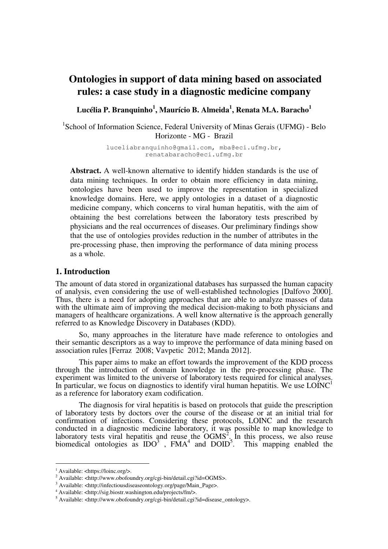# **Ontologies in support of data mining based on associated rules: a case study in a diagnostic medicine company**

**Lucélia P. Branquinho<sup>1</sup> , Maurício B. Almeida<sup>1</sup> , Renata M.A. Baracho<sup>1</sup>**

<sup>1</sup>School of Information Science, Federal University of Minas Gerais (UFMG) - Belo Horizonte - MG - Brazil

> luceliabranquinho@gmail.com, mba@eci.ufmg.br, renatabaracho@eci.ufmg.br

**Abstract.** A well-known alternative to identify hidden standards is the use of data mining techniques. In order to obtain more efficiency in data mining, ontologies have been used to improve the representation in specialized knowledge domains. Here, we apply ontologies in a dataset of a diagnostic medicine company, which concerns to viral human hepatitis, with the aim of obtaining the best correlations between the laboratory tests prescribed by physicians and the real occurrences of diseases. Our preliminary findings show that the use of ontologies provides reduction in the number of attributes in the pre-processing phase, then improving the performance of data mining process as a whole.

#### **1. Introduction**

The amount of data stored in organizational databases has surpassed the human capacity of analysis, even considering the use of well-established technologies [Dalfovo 2000]. Thus, there is a need for adopting approaches that are able to analyze masses of data with the ultimate aim of improving the medical decision-making to both physicians and managers of healthcare organizations. A well know alternative is the approach generally referred to as Knowledge Discovery in Databases (KDD).

So, many approaches in the literature have made reference to ontologies and their semantic descriptors as a way to improve the performance of data mining based on association rules [Ferraz 2008; Vavpetic 2012; Manda 2012].

This paper aims to make an effort towards the improvement of the KDD process through the introduction of domain knowledge in the pre-processing phase. The experiment was limited to the universe of laboratory tests required for clinical analyses. In particular, we focus on diagnostics to identify viral human hepatitis. We use LOINC as a reference for laboratory exam codification.

The diagnosis for viral hepatitis is based on protocols that guide the prescription of laboratory tests by doctors over the course of the disease or at an initial trial for confirmation of infections. Considering these protocols, LOINC and the research conducted in a diagnostic medicine laboratory, it was possible to map knowledge to laboratory tests viral hepatitis and reuse the  $\overline{OGMS}^2$ . In this process, we also reuse biomedical ontologies as  $IDO<sup>3</sup>$ ,  $FMA<sup>4</sup>$  and  $DOD<sup>5</sup>$ . This mapping enabled the

 $\overline{a}$ 

<sup>&</sup>lt;sup>1</sup> Available: <https://loinc.org/>.

<sup>&</sup>lt;sup>2</sup> Available: <http://www.obofoundry.org/cgi-bin/detail.cgi?id=OGMS>.

<sup>&</sup>lt;sup>3</sup> Available: <http://infectiousdiseaseontology.org/page/Main\_Page>.

<sup>4</sup> Available: <http://sig.biostr.washington.edu/projects/fm/>.

<sup>&</sup>lt;sup>5</sup> Available: <http://www.obofoundry.org/cgi-bin/detail.cgi?id=disease\_ontology>.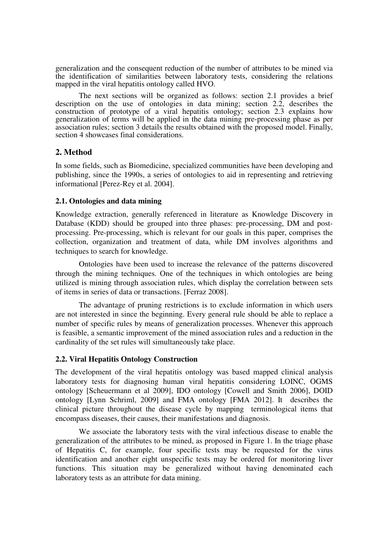generalization and the consequent reduction of the number of attributes to be mined via the identification of similarities between laboratory tests, considering the relations mapped in the viral hepatitis ontology called HVO.

The next sections will be organized as follows: section 2.1 provides a brief description on the use of ontologies in data mining; section 2.2, describes the construction of prototype of a viral hepatitis ontology; section 2.3 explains how generalization of terms will be applied in the data mining pre-processing phase as per association rules; section 3 details the results obtained with the proposed model. Finally, section 4 showcases final considerations.

# **2. Method**

In some fields, such as Biomedicine, specialized communities have been developing and publishing, since the 1990s, a series of ontologies to aid in representing and retrieving informational [Perez-Rey et al. 2004].

#### **2.1. Ontologies and data mining**

Knowledge extraction, generally referenced in literature as Knowledge Discovery in Database (KDD) should be grouped into three phases: pre-processing, DM and postprocessing. Pre-processing, which is relevant for our goals in this paper, comprises the collection, organization and treatment of data, while DM involves algorithms and techniques to search for knowledge.

Ontologies have been used to increase the relevance of the patterns discovered through the mining techniques. One of the techniques in which ontologies are being utilized is mining through association rules, which display the correlation between sets of items in series of data or transactions. [Ferraz 2008].

The advantage of pruning restrictions is to exclude information in which users are not interested in since the beginning. Every general rule should be able to replace a number of specific rules by means of generalization processes. Whenever this approach is feasible, a semantic improvement of the mined association rules and a reduction in the cardinality of the set rules will simultaneously take place.

#### **2.2. Viral Hepatitis Ontology Construction**

The development of the viral hepatitis ontology was based mapped clinical analysis laboratory tests for diagnosing human viral hepatitis considering LOINC, OGMS ontology [Scheuermann et al 2009], IDO ontology [Cowell and Smith 2006], DOID ontology [Lynn Schriml, 2009] and FMA ontology [FMA 2012]. It describes the clinical picture throughout the disease cycle by mapping terminological items that encompass diseases, their causes, their manifestations and diagnosis.

We associate the laboratory tests with the viral infectious disease to enable the generalization of the attributes to be mined, as proposed in Figure 1. In the triage phase of Hepatitis C, for example, four specific tests may be requested for the virus identification and another eight unspecific tests may be ordered for monitoring liver functions. This situation may be generalized without having denominated each laboratory tests as an attribute for data mining.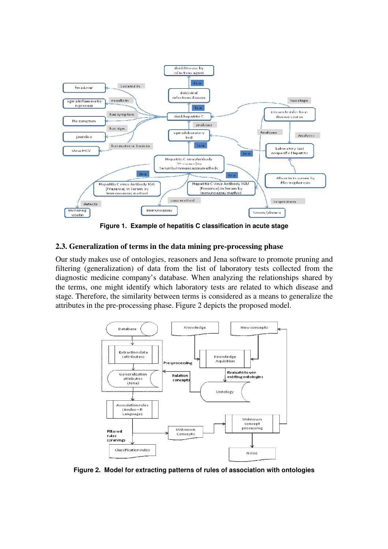

**Figure 1. Example of hepatitis C classification in acute stage** 

# **2.3. Generalization of terms in the data mining pre-processing phase**

Our study makes use of ontologies, reasoners and Jena software to promote pruning and filtering (generalization) of data from the list of laboratory tests collected from the diagnostic medicine company's database. When analyzing the relationships shared by the terms, one might identify which laboratory tests are related to which disease and stage. Therefore, the similarity between terms is considered as a means to generalize the attributes in the pre-processing phase. Figure 2 depicts the proposed model.



**Figure 2. Model for extracting patterns of rules of association with ontologies**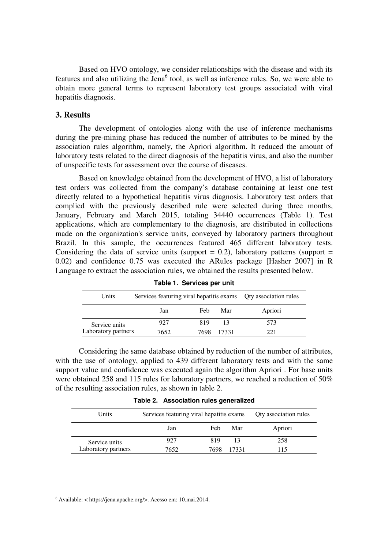Based on HVO ontology, we consider relationships with the disease and with its features and also utilizing the Jena<sup>6</sup> tool, as well as inference rules. So, we were able to obtain more general terms to represent laboratory test groups associated with viral hepatitis diagnosis.

## **3. Results**

The development of ontologies along with the use of inference mechanisms during the pre-mining phase has reduced the number of attributes to be mined by the association rules algorithm, namely, the Apriori algorithm. It reduced the amount of laboratory tests related to the direct diagnosis of the hepatitis virus, and also the number of unspecific tests for assessment over the course of diseases.

Based on knowledge obtained from the development of HVO, a list of laboratory test orders was collected from the company's database containing at least one test directly related to a hypothetical hepatitis virus diagnosis. Laboratory test orders that complied with the previously described rule were selected during three months, January, February and March 2015, totaling 34440 occurrences (Table 1). Test applications, which are complementary to the diagnosis, are distributed in collections made on the organization's service units, conveyed by laboratory partners throughout Brazil. In this sample, the occurrences featured 465 different laboratory tests. Considering the data of service units (support  $= 0.2$ ), laboratory patterns (support  $=$ 0.02) and confidence 0.75 was executed the ARules package [Hasher 2007] in R Language to extract the association rules, we obtained the results presented below.

| Units               |      | Services featuring viral hepatitis exams  Qty association rules |         |         |
|---------------------|------|-----------------------------------------------------------------|---------|---------|
|                     | Jan  | Feb.                                                            | Mar     | Apriori |
| Service units       | 927  | 819                                                             |         | 573     |
| Laboratory partners | 7652 | 7698                                                            | - 17331 |         |

**Table 1. Services per unit** 

Considering the same database obtained by reduction of the number of attributes, with the use of ontology, applied to 439 different laboratory tests and with the same support value and confidence was executed again the algorithm Apriori . For base units were obtained 258 and 115 rules for laboratory partners, we reached a reduction of 50% of the resulting association rules, as shown in table 2.

**Table 2. Association rules generalized** 

| Units                                | Services featuring viral hepatitis exams | Qty association rules |       |         |
|--------------------------------------|------------------------------------------|-----------------------|-------|---------|
|                                      | Jan                                      | Feb                   | Mar   | Apriori |
| Service units<br>Laboratory partners | 927                                      | 819                   | 13    | 258     |
|                                      | 7652                                     | 7698                  | 17331 | 115     |

<sup>6</sup> Available: < https://jena.apache.org/>. Acesso em: 10.mai.2014.

 $\overline{a}$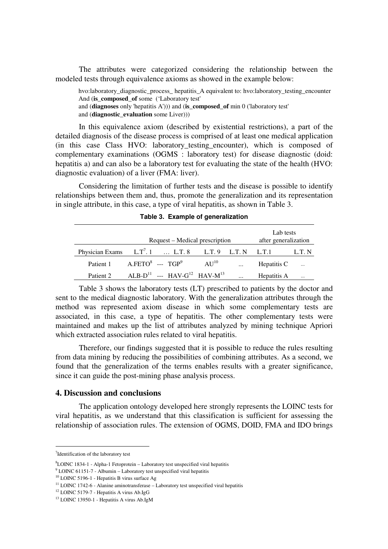The attributes were categorized considering the relationship between the modeled tests through equivalence axioms as showed in the example below:

hvo:laboratory\_diagnostic\_process\_ hepatitis\_A equivalent to: hvo:laboratory\_testing\_encounter\_ And (**is\_composed\_of** some ('Laboratory test' and (**diagnoses** only 'hepatitis A'))) and (**is\_composed\_of** min 0 ('laboratory test' and (**diagnostic\_evaluation** some Liver)))

In this equivalence axiom (described by existential restrictions), a part of the detailed diagnosis of the disease process is comprised of at least one medical application (in this case Class HVO: laboratory\_testing\_encounter), which is composed of complementary examinations (OGMS : laboratory test) for disease diagnostic (doid: hepatitis a) and can also be a laboratory test for evaluating the state of the health (HVO: diagnostic evaluation) of a liver (FMA: liver).

Considering the limitation of further tests and the disease is possible to identify relationships between them and, thus, promote the generalization and its representation in single attribute, in this case, a type of viral hepatitis, as shown in Table 3.

|                                                                  | Request – Medical prescription |                                                       |           |          | Lab tests<br>after generalization |           |
|------------------------------------------------------------------|--------------------------------|-------------------------------------------------------|-----------|----------|-----------------------------------|-----------|
| Physician Exams L.T <sup>7</sup> .1  L.T. 8 L.T. 9 L.T. N L.T. 1 |                                |                                                       |           |          |                                   | LT. N     |
| Patient 1                                                        |                                | $A.FETO8 -- TGP9$                                     | $AU^{10}$ |          | Hepatitis C                       | $\ddotsc$ |
| Patient 2                                                        |                                | $ALB-D11$ --- HAV-G <sup>12</sup> HAV-M <sup>13</sup> |           | $\cdots$ | Hepatitis A                       | $\cdots$  |

**Table 3. Example of generalization** 

Table 3 shows the laboratory tests (LT) prescribed to patients by the doctor and sent to the medical diagnostic laboratory. With the generalization attributes through the method was represented axiom disease in which some complementary tests are associated, in this case, a type of hepatitis. The other complementary tests were maintained and makes up the list of attributes analyzed by mining technique Apriori which extracted association rules related to viral hepatitis.

Therefore, our findings suggested that it is possible to reduce the rules resulting from data mining by reducing the possibilities of combining attributes. As a second, we found that the generalization of the terms enables results with a greater significance, since it can guide the post-mining phase analysis process.

## **4. Discussion and conclusions**

The application ontology developed here strongly represents the LOINC tests for viral hepatitis, as we understand that this classification is sufficient for assessing the relationship of association rules. The extension of OGMS, DOID, FMA and IDO brings

 $\overline{a}$ 

<sup>7</sup> Identification of the laboratory test

<sup>8</sup>LOINC 1834-1 - Alpha-1 Fetoprotein – Laboratory test unspecified viral hepatitis

<sup>&</sup>lt;sup>9</sup> LOINC 61151-7 - Albumin - Laboratory test unspecified viral hepatitis

<sup>&</sup>lt;sup>10</sup> LOINC 5196-1 - Hepatitis B virus surface Ag

 $11$  LOINC 1742-6 - Alanine aminotransferase – Laboratory test unspecified viral hepatitis

 $12$  LOINC 5179-7 - Hepatitis A virus Ab.IgG

<sup>13</sup> LOINC 13950-1 - Hepatitis A virus Ab.IgM